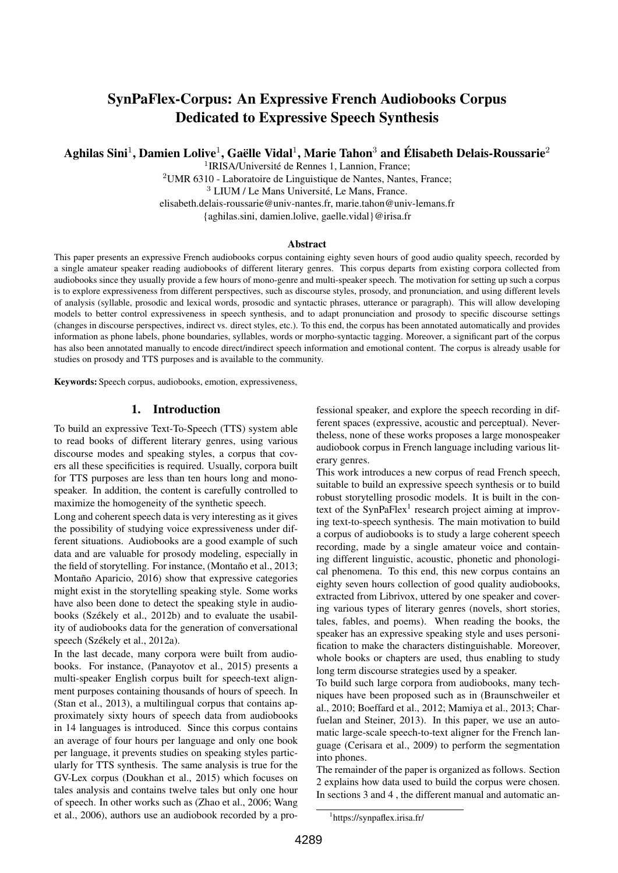# SynPaFlex-Corpus: An Expressive French Audiobooks Corpus Dedicated to Expressive Speech Synthesis

Aghilas Sini $^1$ , Damien Lolive $^1$ , Gaëlle Vidal $^1$ , Marie Tahon $^3$  and Élisabeth Delais-Roussarie $^2$ 

<sup>1</sup>IRISA/Université de Rennes 1, Lannion, France;

<sup>2</sup>UMR 6310 - Laboratoire de Linguistique de Nantes, Nantes, France; <sup>3</sup> LIUM / Le Mans Université, Le Mans, France. elisabeth.delais-roussarie@univ-nantes.fr, marie.tahon@univ-lemans.fr {aghilas.sini, damien.lolive, gaelle.vidal}@irisa.fr

#### **Abstract**

This paper presents an expressive French audiobooks corpus containing eighty seven hours of good audio quality speech, recorded by a single amateur speaker reading audiobooks of different literary genres. This corpus departs from existing corpora collected from audiobooks since they usually provide a few hours of mono-genre and multi-speaker speech. The motivation for setting up such a corpus is to explore expressiveness from different perspectives, such as discourse styles, prosody, and pronunciation, and using different levels of analysis (syllable, prosodic and lexical words, prosodic and syntactic phrases, utterance or paragraph). This will allow developing models to better control expressiveness in speech synthesis, and to adapt pronunciation and prosody to specific discourse settings (changes in discourse perspectives, indirect vs. direct styles, etc.). To this end, the corpus has been annotated automatically and provides information as phone labels, phone boundaries, syllables, words or morpho-syntactic tagging. Moreover, a significant part of the corpus has also been annotated manually to encode direct/indirect speech information and emotional content. The corpus is already usable for studies on prosody and TTS purposes and is available to the community.

Keywords: Speech corpus, audiobooks, emotion, expressiveness,

#### 1. Introduction

To build an expressive Text-To-Speech (TTS) system able to read books of different literary genres, using various discourse modes and speaking styles, a corpus that covers all these specificities is required. Usually, corpora built for TTS purposes are less than ten hours long and monospeaker. In addition, the content is carefully controlled to maximize the homogeneity of the synthetic speech.

Long and coherent speech data is very interesting as it gives the possibility of studying voice expressiveness under different situations. Audiobooks are a good example of such data and are valuable for prosody modeling, especially in the field of storytelling. For instance, [\(Montaño et al., 2013;](#page-7-0) [Montaño Aparicio, 2016\)](#page-7-1) show that expressive categories might exist in the storytelling speaking style. Some works have also been done to detect the speaking style in audiobooks [\(Székely et al., 2012b\)](#page-7-2) and to evaluate the usability of audiobooks data for the generation of conversational speech [\(Székely et al., 2012a\)](#page-7-3).

In the last decade, many corpora were built from audiobooks. For instance, [\(Panayotov et al., 2015\)](#page-7-4) presents a multi-speaker English corpus built for speech-text alignment purposes containing thousands of hours of speech. In [\(Stan et al., 2013\)](#page-7-5), a multilingual corpus that contains approximately sixty hours of speech data from audiobooks in 14 languages is introduced. Since this corpus contains an average of four hours per language and only one book per language, it prevents studies on speaking styles particularly for TTS synthesis. The same analysis is true for the GV-Lex corpus [\(Doukhan et al., 2015\)](#page-7-6) which focuses on tales analysis and contains twelve tales but only one hour of speech. In other works such as [\(Zhao et al., 2006;](#page-7-7) [Wang](#page-7-8) [et al., 2006\)](#page-7-8), authors use an audiobook recorded by a professional speaker, and explore the speech recording in different spaces (expressive, acoustic and perceptual). Nevertheless, none of these works proposes a large monospeaker audiobook corpus in French language including various literary genres.

This work introduces a new corpus of read French speech, suitable to build an expressive speech synthesis or to build robust storytelling prosodic models. It is built in the con-text of the SynPaFlex<sup>[1](#page-0-0)</sup> research project aiming at improving text-to-speech synthesis. The main motivation to build a corpus of audiobooks is to study a large coherent speech recording, made by a single amateur voice and containing different linguistic, acoustic, phonetic and phonological phenomena. To this end, this new corpus contains an eighty seven hours collection of good quality audiobooks, extracted from Librivox, uttered by one speaker and covering various types of literary genres (novels, short stories, tales, fables, and poems). When reading the books, the speaker has an expressive speaking style and uses personification to make the characters distinguishable. Moreover, whole books or chapters are used, thus enabling to study long term discourse strategies used by a speaker.

To build such large corpora from audiobooks, many techniques have been proposed such as in [\(Braunschweiler et](#page-6-0) [al., 2010;](#page-6-0) [Boeffard et al., 2012;](#page-6-1) [Mamiya et al., 2013;](#page-7-9) [Char](#page-6-2)[fuelan and Steiner, 2013\)](#page-6-2). In this paper, we use an automatic large-scale speech-to-text aligner for the French language [\(Cerisara et al., 2009\)](#page-6-3) to perform the segmentation into phones.

The remainder of the paper is organized as follows. Section 2 explains how data used to build the corpus were chosen. In sections 3 and 4 , the different manual and automatic an-

<span id="page-0-0"></span><sup>1</sup> https://synpaflex.irisa.fr/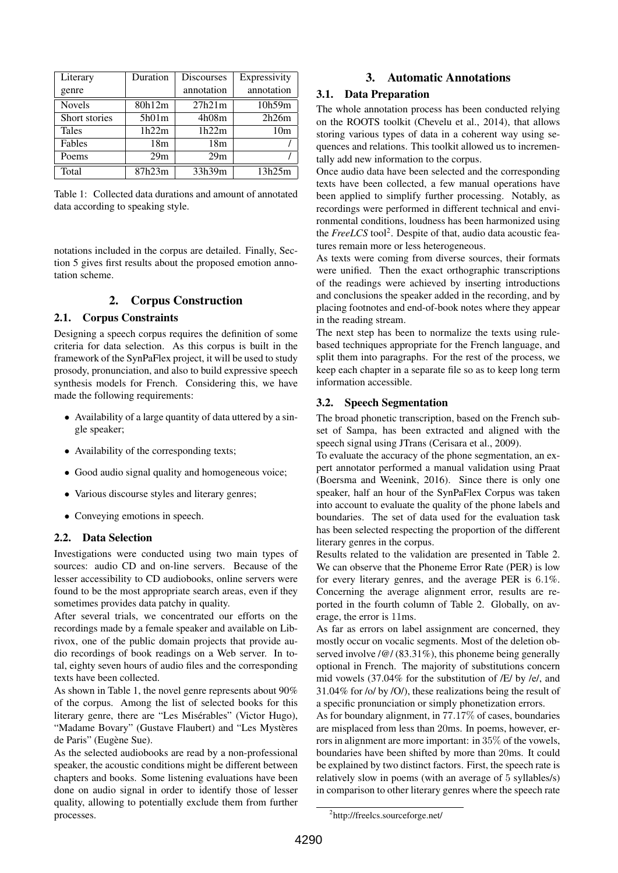| Literary      | Duration        | <b>Discourses</b> | Expressivity    |
|---------------|-----------------|-------------------|-----------------|
| genre         |                 | annotation        | annotation      |
| <b>Novels</b> | 80h12m          | 27h21m            | 10h59m          |
| Short stories | 5h01m           | 4h08m             | 2h26m           |
| Tales         | 1h22m           | 1h22m             | 10 <sub>m</sub> |
| Fables        | 18 <sub>m</sub> | 18 <sub>m</sub>   |                 |
| Poems         | 29m             | 29m               |                 |
| Total         | 87h23m          | 33h39m            | 13h25m          |

<span id="page-1-0"></span>Table 1: Collected data durations and amount of annotated data according to speaking style.

notations included in the corpus are detailed. Finally, Section 5 gives first results about the proposed emotion annotation scheme.

# 2. Corpus Construction

### 2.1. Corpus Constraints

Designing a speech corpus requires the definition of some criteria for data selection. As this corpus is built in the framework of the SynPaFlex project, it will be used to study prosody, pronunciation, and also to build expressive speech synthesis models for French. Considering this, we have made the following requirements:

- Availability of a large quantity of data uttered by a single speaker;
- Availability of the corresponding texts:
- Good audio signal quality and homogeneous voice;
- Various discourse styles and literary genres;
- Conveying emotions in speech.

## 2.2. Data Selection

Investigations were conducted using two main types of sources: audio CD and on-line servers. Because of the lesser accessibility to CD audiobooks, online servers were found to be the most appropriate search areas, even if they sometimes provides data patchy in quality.

After several trials, we concentrated our efforts on the recordings made by a female speaker and available on Librivox, one of the public domain projects that provide audio recordings of book readings on a Web server. In total, eighty seven hours of audio files and the corresponding texts have been collected.

As shown in Table [1,](#page-1-0) the novel genre represents about 90% of the corpus. Among the list of selected books for this literary genre, there are "Les Misérables" (Victor Hugo), "Madame Bovary" (Gustave Flaubert) and "Les Mystères de Paris" (Eugène Sue).

As the selected audiobooks are read by a non-professional speaker, the acoustic conditions might be different between chapters and books. Some listening evaluations have been done on audio signal in order to identify those of lesser quality, allowing to potentially exclude them from further processes.

# 3. Automatic Annotations

### 3.1. Data Preparation

The whole annotation process has been conducted relying on the ROOTS toolkit [\(Chevelu et al., 2014\)](#page-6-4), that allows storing various types of data in a coherent way using sequences and relations. This toolkit allowed us to incrementally add new information to the corpus.

Once audio data have been selected and the corresponding texts have been collected, a few manual operations have been applied to simplify further processing. Notably, as recordings were performed in different technical and environmental conditions, loudness has been harmonized using the *FreeLCS* tool<sup>[2](#page-1-1)</sup>. Despite of that, audio data acoustic features remain more or less heterogeneous.

As texts were coming from diverse sources, their formats were unified. Then the exact orthographic transcriptions of the readings were achieved by inserting introductions and conclusions the speaker added in the recording, and by placing footnotes and end-of-book notes where they appear in the reading stream.

The next step has been to normalize the texts using rulebased techniques appropriate for the French language, and split them into paragraphs. For the rest of the process, we keep each chapter in a separate file so as to keep long term information accessible.

## 3.2. Speech Segmentation

The broad phonetic transcription, based on the French subset of Sampa, has been extracted and aligned with the speech signal using JTrans [\(Cerisara et al., 2009\)](#page-6-3).

To evaluate the accuracy of the phone segmentation, an expert annotator performed a manual validation using Praat [\(Boersma and Weenink, 2016\)](#page-6-5). Since there is only one speaker, half an hour of the SynPaFlex Corpus was taken into account to evaluate the quality of the phone labels and boundaries. The set of data used for the evaluation task has been selected respecting the proportion of the different literary genres in the corpus.

Results related to the validation are presented in Table [2.](#page-2-0) We can observe that the Phoneme Error Rate (PER) is low for every literary genres, and the average PER is 6.1%. Concerning the average alignment error, results are reported in the fourth column of Table [2.](#page-2-0) Globally, on average, the error is 11ms.

As far as errors on label assignment are concerned, they mostly occur on vocalic segments. Most of the deletion observed involve / $@$ / (83.31%), this phoneme being generally optional in French. The majority of substitutions concern mid vowels (37.04% for the substitution of /E/ by /e/, and 31.04% for /o/ by /O/), these realizations being the result of a specific pronunciation or simply phonetization errors.

As for boundary alignment, in 77.17% of cases, boundaries are misplaced from less than 20ms. In poems, however, errors in alignment are more important: in 35% of the vowels, boundaries have been shifted by more than 20ms. It could be explained by two distinct factors. First, the speech rate is relatively slow in poems (with an average of 5 syllables/s) in comparison to other literary genres where the speech rate

<span id="page-1-1"></span><sup>2</sup> http://freelcs.sourceforge.net/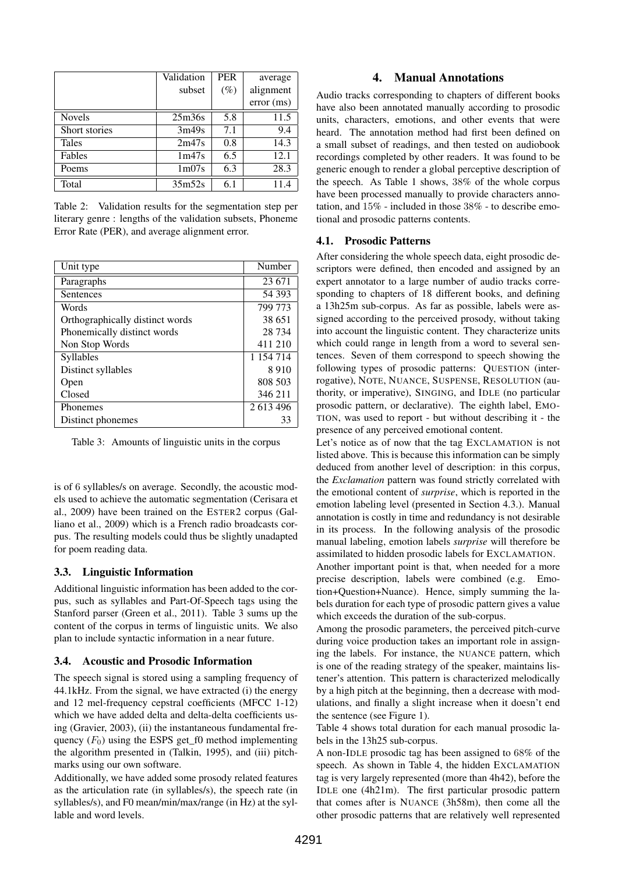|               | Validation        | <b>PER</b> | average   |
|---------------|-------------------|------------|-----------|
|               | subset            | $(\%)$     | alignment |
|               |                   |            | error(ms) |
| <b>Novels</b> | 25m36s            | 5.8        | 11.5      |
| Short stories | 3m49s             | 7.1        | 9.4       |
| <b>Tales</b>  | 2m47s             | 0.8        | 14.3      |
| Fables        | 1m47s             | 6.5        | 12.1      |
| Poems         | 1 <sub>m07s</sub> | 6.3        | 28.3      |
| Total         | 35m52s            | 6.1        |           |

<span id="page-2-0"></span>Table 2: Validation results for the segmentation step per literary genre : lengths of the validation subsets, Phoneme Error Rate (PER), and average alignment error.

| Unit type                       | Number    |
|---------------------------------|-----------|
| Paragraphs                      | 23 671    |
| Sentences                       | 54 393    |
| Words                           | 799 773   |
| Orthographically distinct words | 38 651    |
| Phonemically distinct words     | 28 7 34   |
| Non Stop Words                  | 411 210   |
| <b>Syllables</b>                | 1 154 714 |
| Distinct syllables              | 8910      |
| Open                            | 808 503   |
| Closed                          | 346 211   |
| Phonemes                        | 2 613 496 |
| Distinct phonemes               | 33        |

<span id="page-2-1"></span>Table 3: Amounts of linguistic units in the corpus

is of 6 syllables/s on average. Secondly, the acoustic models used to achieve the automatic segmentation [\(Cerisara et](#page-6-3) [al., 2009\)](#page-6-3) have been trained on the ESTER2 corpus [\(Gal](#page-7-10)[liano et al., 2009\)](#page-7-10) which is a French radio broadcasts corpus. The resulting models could thus be slightly unadapted for poem reading data.

### 3.3. Linguistic Information

Additional linguistic information has been added to the corpus, such as syllables and Part-Of-Speech tags using the Stanford parser [\(Green et al., 2011\)](#page-7-11). Table [3](#page-2-1) sums up the content of the corpus in terms of linguistic units. We also plan to include syntactic information in a near future.

### 3.4. Acoustic and Prosodic Information

The speech signal is stored using a sampling frequency of 44.1kHz. From the signal, we have extracted (i) the energy and 12 mel-frequency cepstral coefficients (MFCC 1-12) which we have added delta and delta-delta coefficients using [\(Gravier, 2003\)](#page-7-12), (ii) the instantaneous fundamental frequency  $(F_0)$  using the ESPS get\_f0 method implementing the algorithm presented in [\(Talkin, 1995\)](#page-7-13), and (iii) pitchmarks using our own software.

Additionally, we have added some prosody related features as the articulation rate (in syllables/s), the speech rate (in syllables/s), and F0 mean/min/max/range (in Hz) at the syllable and word levels.

### 4. Manual Annotations

Audio tracks corresponding to chapters of different books have also been annotated manually according to prosodic units, characters, emotions, and other events that were heard. The annotation method had first been defined on a small subset of readings, and then tested on audiobook recordings completed by other readers. It was found to be generic enough to render a global perceptive description of the speech. As Table [1](#page-1-0) shows, 38% of the whole corpus have been processed manually to provide characters annotation, and 15% - included in those 38% - to describe emotional and prosodic patterns contents.

### 4.1. Prosodic Patterns

After considering the whole speech data, eight prosodic descriptors were defined, then encoded and assigned by an expert annotator to a large number of audio tracks corresponding to chapters of 18 different books, and defining a 13h25m sub-corpus. As far as possible, labels were assigned according to the perceived prosody, without taking into account the linguistic content. They characterize units which could range in length from a word to several sentences. Seven of them correspond to speech showing the following types of prosodic patterns: QUESTION (interrogative), NOTE, NUANCE, SUSPENSE, RESOLUTION (authority, or imperative), SINGING, and IDLE (no particular prosodic pattern, or declarative). The eighth label, EMO-TION, was used to report - but without describing it - the presence of any perceived emotional content.

Let's notice as of now that the tag EXCLAMATION is not listed above. This is because this information can be simply deduced from another level of description: in this corpus, the *Exclamation* pattern was found strictly correlated with the emotional content of *surprise*, which is reported in the emotion labeling level (presented in Section [4.3.\)](#page-3-0). Manual annotation is costly in time and redundancy is not desirable in its process. In the following analysis of the prosodic manual labeling, emotion labels *surprise* will therefore be assimilated to hidden prosodic labels for EXCLAMATION.

Another important point is that, when needed for a more precise description, labels were combined (e.g. Emotion+Question+Nuance). Hence, simply summing the labels duration for each type of prosodic pattern gives a value which exceeds the duration of the sub-corpus.

Among the prosodic parameters, the perceived pitch-curve during voice production takes an important role in assigning the labels. For instance, the NUANCE pattern, which is one of the reading strategy of the speaker, maintains listener's attention. This pattern is characterized melodically by a high pitch at the beginning, then a decrease with modulations, and finally a slight increase when it doesn't end the sentence (see Figure [1\)](#page-3-1).

Table [4](#page-3-2) shows total duration for each manual prosodic labels in the 13h25 sub-corpus.

A non-IDLE prosodic tag has been assigned to 68% of the speech. As shown in Table [4,](#page-3-2) the hidden EXCLAMATION tag is very largely represented (more than 4h42), before the IDLE one (4h21m). The first particular prosodic pattern that comes after is NUANCE (3h58m), then come all the other prosodic patterns that are relatively well represented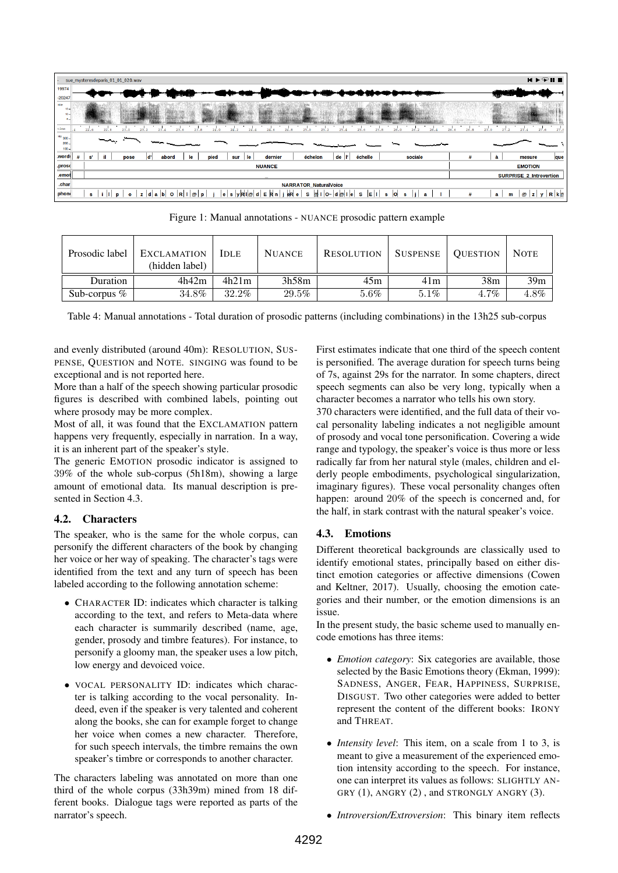|                                     | sue_mysteresdeparis_01_01_020.wav                                                                                                                                                | $M \triangleright \triangleright \blacksquare$                    |
|-------------------------------------|----------------------------------------------------------------------------------------------------------------------------------------------------------------------------------|-------------------------------------------------------------------|
| 19974                               |                                                                                                                                                                                  |                                                                   |
| $-20247$                            |                                                                                                                                                                                  |                                                                   |
| kHz<br>15.<br>10.<br>$\mathbf{a}$   |                                                                                                                                                                                  |                                                                   |
| time                                | 22.6<br>23.0<br>24.4<br>25.0<br>25.1<br>25.8<br>22.8<br>23.8<br>25.4<br>25.6<br>26.0<br>23.4<br>23.6<br>24.0<br>24.6<br>24.8<br>26.2<br>24.2                                     | 27.2<br>27.6<br>27.4<br>27.8<br>26.6<br>27.0<br>26.8              |
| $Hz$ 300 $-1$<br>$200 -$<br>$100 -$ | المتحدث<br>$- - - -$                                                                                                                                                             |                                                                   |
| word:                               | il.<br>le<br>$de$   $\mathsf{r}$<br>échelle<br>sociale<br>pied<br>$\mathbf{s}^{\prime}$<br>le<br>dernier<br>échelon<br>abord<br>ld'<br>pose<br>sur                               | à<br>#<br>que<br>mesure                                           |
| .prosc                              | <b>NUANCE</b>                                                                                                                                                                    | <b>EMOTION</b>                                                    |
| .emot                               |                                                                                                                                                                                  | <b>SURPRISE_2_Introvertion</b>                                    |
| .char                               | <b>NARRATOR_NaturalVoice</b>                                                                                                                                                     |                                                                   |
| phone                               | j eR e<br>E 1 <br>$z  d a b $ O $R I \emptyset$<br>$ e $ s $ y $ Ri $ Q $ d $ E $ R n $ $<br>s ill<br>S<br>s<br>@il O∼∣d @il e<br><b>o</b><br>p<br>s<br>D<br>$\bullet$<br>s<br>a | $R$ $k$ $q$<br>#<br>$\mathbf{a}$<br>$\bm{\omega}$<br>$ z $ y<br>m |

<span id="page-3-1"></span>Figure 1: Manual annotations - NUANCE prosodic pattern example

| Prosodic label  | <b>EXCLAMATION</b><br>(hidden label) | <b>IDLE</b> | <b>NUANCE</b> | <b>RESOLUTION</b> | <b>SUSPENSE</b> | <b>QUESTION</b> | <b>NOTE</b>     |
|-----------------|--------------------------------------|-------------|---------------|-------------------|-----------------|-----------------|-----------------|
| Duration        | 4h42m                                | 4h21m       | 3h58m         | 45m               | 41m             | 38m             | 39 <sub>m</sub> |
| Sub-corpus $\%$ | 34.8%                                | 32.2%       | 29.5%         | $5.6\%$           | 5.1%            | $4.7\%$         | 4.8%            |

<span id="page-3-2"></span>Table 4: Manual annotations - Total duration of prosodic patterns (including combinations) in the 13h25 sub-corpus

and evenly distributed (around 40m): RESOLUTION, SUS-PENSE, QUESTION and NOTE. SINGING was found to be exceptional and is not reported here.

More than a half of the speech showing particular prosodic figures is described with combined labels, pointing out where prosody may be more complex.

Most of all, it was found that the EXCLAMATION pattern happens very frequently, especially in narration. In a way, it is an inherent part of the speaker's style.

The generic EMOTION prosodic indicator is assigned to 39% of the whole sub-corpus (5h18m), showing a large amount of emotional data. Its manual description is presented in Section [4.3.](#page-3-0)

## 4.2. Characters

The speaker, who is the same for the whole corpus, can personify the different characters of the book by changing her voice or her way of speaking. The character's tags were identified from the text and any turn of speech has been labeled according to the following annotation scheme:

- CHARACTER ID: indicates which character is talking according to the text, and refers to Meta-data where each character is summarily described (name, age, gender, prosody and timbre features). For instance, to personify a gloomy man, the speaker uses a low pitch, low energy and devoiced voice.
- VOCAL PERSONALITY ID: indicates which character is talking according to the vocal personality. Indeed, even if the speaker is very talented and coherent along the books, she can for example forget to change her voice when comes a new character. Therefore, for such speech intervals, the timbre remains the own speaker's timbre or corresponds to another character.

The characters labeling was annotated on more than one third of the whole corpus (33h39m) mined from 18 different books. Dialogue tags were reported as parts of the narrator's speech.

First estimates indicate that one third of the speech content is personified. The average duration for speech turns being of 7s, against 29s for the narrator. In some chapters, direct speech segments can also be very long, typically when a character becomes a narrator who tells his own story.

370 characters were identified, and the full data of their vocal personality labeling indicates a not negligible amount of prosody and vocal tone personification. Covering a wide range and typology, the speaker's voice is thus more or less radically far from her natural style (males, children and elderly people embodiments, psychological singularization, imaginary figures). These vocal personality changes often happen: around 20% of the speech is concerned and, for the half, in stark contrast with the natural speaker's voice.

## <span id="page-3-0"></span>4.3. Emotions

Different theoretical backgrounds are classically used to identify emotional states, principally based on either distinct emotion categories or affective dimensions [\(Cowen](#page-7-14) [and Keltner, 2017\)](#page-7-14). Usually, choosing the emotion categories and their number, or the emotion dimensions is an issue.

In the present study, the basic scheme used to manually encode emotions has three items:

- *Emotion category*: Six categories are available, those selected by the Basic Emotions theory [\(Ekman, 1999\)](#page-7-15): SADNESS, ANGER, FEAR, HAPPINESS, SURPRISE, DISGUST. Two other categories were added to better represent the content of the different books: IRONY and THREAT.
- *Intensity level*: This item, on a scale from 1 to 3, is meant to give a measurement of the experienced emotion intensity according to the speech. For instance, one can interpret its values as follows: SLIGHTLY AN-GRY (1), ANGRY (2), and STRONGLY ANGRY (3).
- *Introversion/Extroversion*: This binary item reflects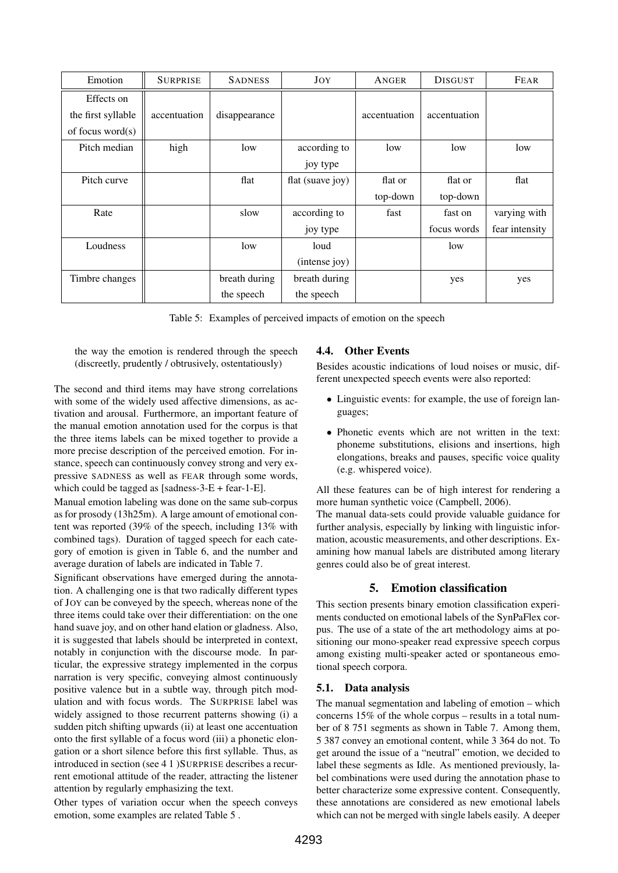| Emotion             | <b>SURPRISE</b> | <b>SADNESS</b> | JOY              | ANGER        | <b>DISGUST</b> | FEAR           |
|---------------------|-----------------|----------------|------------------|--------------|----------------|----------------|
| Effects on          |                 |                |                  |              |                |                |
| the first syllable  | accentuation    | disappearance  |                  | accentuation | accentuation   |                |
| of focus word $(s)$ |                 |                |                  |              |                |                |
| Pitch median        | high            | low            | according to     | low          | low            | low            |
|                     |                 |                | joy type         |              |                |                |
| Pitch curve         |                 | flat           | flat (suave joy) | flat or      | flat or        | flat           |
|                     |                 |                |                  | top-down     | top-down       |                |
| Rate                |                 | slow           | according to     | fast         | fast on        | varying with   |
|                     |                 |                | joy type         |              | focus words    | fear intensity |
| Loudness            |                 | low            | loud             |              | low            |                |
|                     |                 |                | (intense joy)    |              |                |                |
| Timbre changes      |                 | breath during  | breath during    |              | yes            | yes            |
|                     |                 | the speech     | the speech       |              |                |                |

<span id="page-4-0"></span>Table 5: Examples of perceived impacts of emotion on the speech

the way the emotion is rendered through the speech (discreetly, prudently / obtrusively, ostentatiously)

The second and third items may have strong correlations with some of the widely used affective dimensions, as activation and arousal. Furthermore, an important feature of the manual emotion annotation used for the corpus is that the three items labels can be mixed together to provide a more precise description of the perceived emotion. For instance, speech can continuously convey strong and very expressive SADNESS as well as FEAR through some words, which could be tagged as [sadness-3-E + fear-1-E].

Manual emotion labeling was done on the same sub-corpus as for prosody (13h25m). A large amount of emotional content was reported (39% of the speech, including 13% with combined tags). Duration of tagged speech for each category of emotion is given in Table [6,](#page-5-0) and the number and average duration of labels are indicated in Table [7.](#page-5-1)

Significant observations have emerged during the annotation. A challenging one is that two radically different types of JOY can be conveyed by the speech, whereas none of the three items could take over their differentiation: on the one hand suave joy, and on other hand elation or gladness. Also, it is suggested that labels should be interpreted in context, notably in conjunction with the discourse mode. In particular, the expressive strategy implemented in the corpus narration is very specific, conveying almost continuously positive valence but in a subtle way, through pitch modulation and with focus words. The SURPRISE label was widely assigned to those recurrent patterns showing (i) a sudden pitch shifting upwards (ii) at least one accentuation onto the first syllable of a focus word (iii) a phonetic elongation or a short silence before this first syllable. Thus, as introduced in section (see 4 1 )SURPRISE describes a recurrent emotional attitude of the reader, attracting the listener attention by regularly emphasizing the text.

Other types of variation occur when the speech conveys emotion, some examples are related Table [5](#page-4-0) .

## 4.4. Other Events

Besides acoustic indications of loud noises or music, different unexpected speech events were also reported:

- Linguistic events: for example, the use of foreign languages;
- Phonetic events which are not written in the text: phoneme substitutions, elisions and insertions, high elongations, breaks and pauses, specific voice quality (e.g. whispered voice).

All these features can be of high interest for rendering a more human synthetic voice [\(Campbell, 2006\)](#page-6-6).

The manual data-sets could provide valuable guidance for further analysis, especially by linking with linguistic information, acoustic measurements, and other descriptions. Examining how manual labels are distributed among literary genres could also be of great interest.

# 5. Emotion classification

This section presents binary emotion classification experiments conducted on emotional labels of the SynPaFlex corpus. The use of a state of the art methodology aims at positioning our mono-speaker read expressive speech corpus among existing multi-speaker acted or spontaneous emotional speech corpora.

# 5.1. Data analysis

The manual segmentation and labeling of emotion – which concerns 15% of the whole corpus – results in a total number of 8 751 segments as shown in Table [7.](#page-5-1) Among them, 5 387 convey an emotional content, while 3 364 do not. To get around the issue of a "neutral" emotion, we decided to label these segments as Idle. As mentioned previously, label combinations were used during the annotation phase to better characterize some expressive content. Consequently, these annotations are considered as new emotional labels which can not be merged with single labels easily. A deeper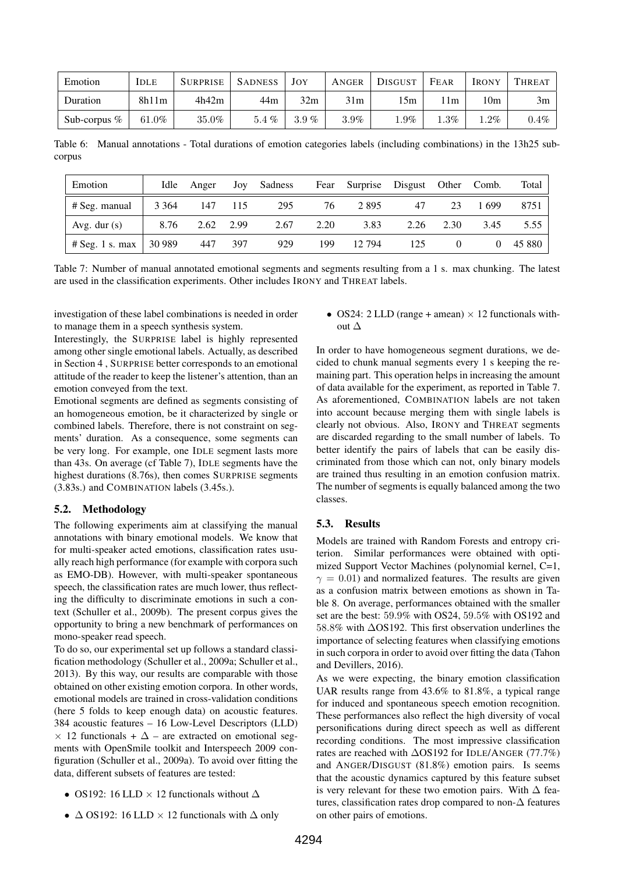| Emotion         | <b>IDLE</b> | <b>SURPRISE</b> | <b>SADNESS</b> | JOY     | ANGER   | DISGUST | FEAR    | <b>IRONY</b> | THREAT  |
|-----------------|-------------|-----------------|----------------|---------|---------|---------|---------|--------------|---------|
| Duration        | 8h11m       | 4h42m           | 44m            | 32m     | 31m     | 15m     | 1m      | 10m          | 3m      |
| Sub-corpus $\%$ | $61.0\%$    | 35.0%           | $5.4\%$        | $3.9\%$ | $3.9\%$ | $0.9\%$ | $1.3\%$ | $.2\%$       | $0.4\%$ |

<span id="page-5-0"></span>Table 6: Manual annotations - Total durations of emotion categories labels (including combinations) in the 13h25 subcorpus

| Emotion                  | Idle    | Anger     | Joy | Sadness | Fear | Surprise | Disgust Other Comb. |      |       | Total    |
|--------------------------|---------|-----------|-----|---------|------|----------|---------------------|------|-------|----------|
| # Seg. manual            | 3 3 6 4 | -147      | 115 | 295     | 76   | 2895     | 47                  | 23   | 1.699 | 8751     |
| Avg. dur $(s)$           | 8.76    | 2.62 2.99 |     | 2.67    | 2.20 | 3.83     | 2.26                | 2.30 | 3.45  | 5.55     |
| $# \text{Seg. 1 s. max}$ | 30 989  | 447       | 397 | 929     | 199  | 12.794   | 125                 |      |       | 0 45 880 |

<span id="page-5-1"></span>Table 7: Number of manual annotated emotional segments and segments resulting from a 1 s. max chunking. The latest are used in the classification experiments. Other includes IRONY and THREAT labels.

investigation of these label combinations is needed in order to manage them in a speech synthesis system.

Interestingly, the SURPRISE label is highly represented among other single emotional labels. Actually, as described in Section 4 , SURPRISE better corresponds to an emotional attitude of the reader to keep the listener's attention, than an emotion conveyed from the text.

Emotional segments are defined as segments consisting of an homogeneous emotion, be it characterized by single or combined labels. Therefore, there is not constraint on segments' duration. As a consequence, some segments can be very long. For example, one IDLE segment lasts more than 43s. On average (cf Table [7\)](#page-5-1), IDLE segments have the highest durations (8.76s), then comes SURPRISE segments (3.83s.) and COMBINATION labels (3.45s.).

#### 5.2. Methodology

The following experiments aim at classifying the manual annotations with binary emotional models. We know that for multi-speaker acted emotions, classification rates usually reach high performance (for example with corpora such as EMO-DB). However, with multi-speaker spontaneous speech, the classification rates are much lower, thus reflecting the difficulty to discriminate emotions in such a context [\(Schuller et al., 2009b\)](#page-7-16). The present corpus gives the opportunity to bring a new benchmark of performances on mono-speaker read speech.

To do so, our experimental set up follows a standard classification methodology [\(Schuller et al., 2009a;](#page-7-17) [Schuller et al.,](#page-7-18) [2013\)](#page-7-18). By this way, our results are comparable with those obtained on other existing emotion corpora. In other words, emotional models are trained in cross-validation conditions (here 5 folds to keep enough data) on acoustic features. 384 acoustic features – 16 Low-Level Descriptors (LLD)  $\times$  12 functionals +  $\Delta$  – are extracted on emotional segments with OpenSmile toolkit and Interspeech 2009 configuration [\(Schuller et al., 2009a\)](#page-7-17). To avoid over fitting the data, different subsets of features are tested:

- OS192: 16 LLD  $\times$  12 functionals without  $\Delta$
- $\Delta$  OS192: 16 LLD  $\times$  12 functionals with  $\Delta$  only

• OS24: 2 LLD (range + amean)  $\times$  12 functionals without ∆

In order to have homogeneous segment durations, we decided to chunk manual segments every 1 s keeping the remaining part. This operation helps in increasing the amount of data available for the experiment, as reported in Table [7.](#page-5-1) As aforementioned, COMBINATION labels are not taken into account because merging them with single labels is clearly not obvious. Also, IRONY and THREAT segments are discarded regarding to the small number of labels. To better identify the pairs of labels that can be easily discriminated from those which can not, only binary models are trained thus resulting in an emotion confusion matrix. The number of segments is equally balanced among the two classes.

#### 5.3. Results

Models are trained with Random Forests and entropy criterion. Similar performances were obtained with optimized Support Vector Machines (polynomial kernel, C=1,  $\gamma = 0.01$ ) and normalized features. The results are given as a confusion matrix between emotions as shown in Table [8.](#page-6-7) On average, performances obtained with the smaller set are the best: 59.9% with OS24, 59.5% with OS192 and 58.8% with ∆OS192. This first observation underlines the importance of selecting features when classifying emotions in such corpora in order to avoid over fitting the data [\(Tahon](#page-7-19) [and Devillers, 2016\)](#page-7-19).

As we were expecting, the binary emotion classification UAR results range from 43.6% to 81.8%, a typical range for induced and spontaneous speech emotion recognition. These performances also reflect the high diversity of vocal personifications during direct speech as well as different recording conditions. The most impressive classification rates are reached with ∆OS192 for IDLE/ANGER (77.7%) and ANGER/DISGUST (81.8%) emotion pairs. Is seems that the acoustic dynamics captured by this feature subset is very relevant for these two emotion pairs. With  $\Delta$  features, classification rates drop compared to non- $\Delta$  features on other pairs of emotions.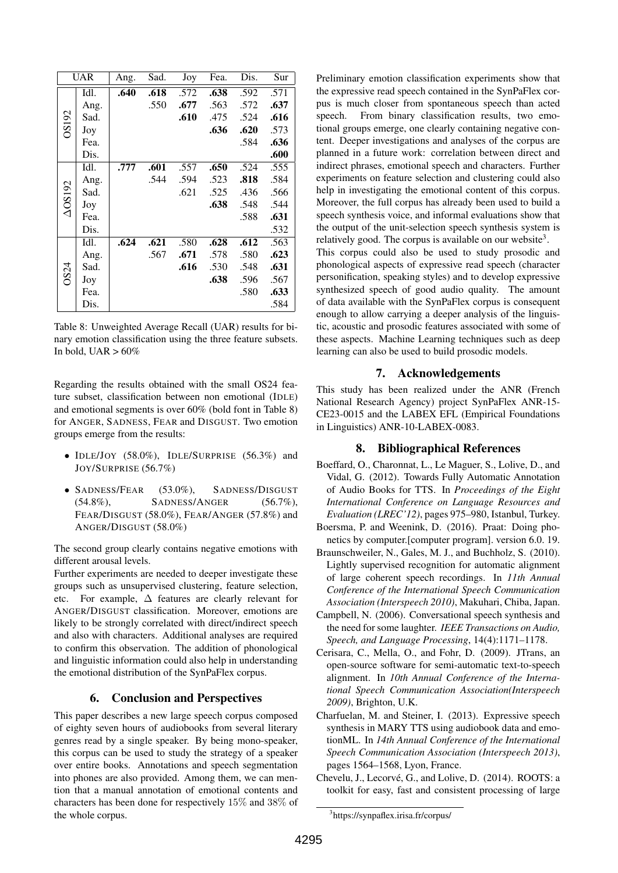|                | UAR  | Ang. | Sad. | Joy  | Fea. | Dis.              | Sur  |
|----------------|------|------|------|------|------|-------------------|------|
|                | Idl. | .640 | .618 | .572 | .638 | $.59\overline{2}$ | .571 |
|                | Ang. |      | .550 | .677 | .563 | .572              | .637 |
|                | Sad. |      |      | .610 | .475 | .524              | .616 |
| OS192          | Joy  |      |      |      | .636 | .620              | .573 |
|                | Fea. |      |      |      |      | .584              | .636 |
|                | Dis. |      |      |      |      |                   | .600 |
|                | Idl. | .777 | .601 | .557 | .650 | .524              | .555 |
|                | Ang. |      | .544 | .594 | .523 | .818              | .584 |
| $\Delta$ OS192 | Sad. |      |      | .621 | .525 | .436              | .566 |
|                | Joy  |      |      |      | .638 | .548              | .544 |
|                | Fea. |      |      |      |      | .588              | .631 |
|                | Dis. |      |      |      |      |                   | .532 |
|                | Idl. | .624 | .621 | .580 | .628 | .612              | .563 |
|                | Ang. |      | .567 | .671 | .578 | .580              | .623 |
| OS24           | Sad. |      |      | .616 | .530 | .548              | .631 |
|                | Joy  |      |      |      | .638 | .596              | .567 |
|                | Fea. |      |      |      |      | .580              | .633 |
|                | Dis. |      |      |      |      |                   | .584 |

<span id="page-6-7"></span>Table 8: Unweighted Average Recall (UAR) results for binary emotion classification using the three feature subsets. In bold, UAR  $> 60\%$ 

Regarding the results obtained with the small OS24 feature subset, classification between non emotional (IDLE) and emotional segments is over 60% (bold font in Table [8\)](#page-6-7) for ANGER, SADNESS, FEAR and DISGUST. Two emotion groups emerge from the results:

- IDLE/JOY (58.0%), IDLE/SURPRISE (56.3%) and JOY/SURPRISE (56.7%)
- SADNESS/FEAR (53.0%), SADNESS/DISGUST (54.8%), SADNESS/ANGER (56.7%), FEAR/DISGUST (58.0%), FEAR/ANGER (57.8%) and ANGER/DISGUST (58.0%)

The second group clearly contains negative emotions with different arousal levels.

Further experiments are needed to deeper investigate these groups such as unsupervised clustering, feature selection, etc. For example, ∆ features are clearly relevant for ANGER/DISGUST classification. Moreover, emotions are likely to be strongly correlated with direct/indirect speech and also with characters. Additional analyses are required to confirm this observation. The addition of phonological and linguistic information could also help in understanding the emotional distribution of the SynPaFlex corpus.

### 6. Conclusion and Perspectives

This paper describes a new large speech corpus composed of eighty seven hours of audiobooks from several literary genres read by a single speaker. By being mono-speaker, this corpus can be used to study the strategy of a speaker over entire books. Annotations and speech segmentation into phones are also provided. Among them, we can mention that a manual annotation of emotional contents and characters has been done for respectively 15% and 38% of the whole corpus.

Preliminary emotion classification experiments show that the expressive read speech contained in the SynPaFlex corpus is much closer from spontaneous speech than acted speech. From binary classification results, two emotional groups emerge, one clearly containing negative content. Deeper investigations and analyses of the corpus are planned in a future work: correlation between direct and indirect phrases, emotional speech and characters. Further experiments on feature selection and clustering could also help in investigating the emotional content of this corpus. Moreover, the full corpus has already been used to build a speech synthesis voice, and informal evaluations show that the output of the unit-selection speech synthesis system is relatively good. The corpus is available on our website<sup>[3](#page-6-8)</sup>.

This corpus could also be used to study prosodic and phonological aspects of expressive read speech (character personification, speaking styles) and to develop expressive synthesized speech of good audio quality. The amount of data available with the SynPaFlex corpus is consequent enough to allow carrying a deeper analysis of the linguistic, acoustic and prosodic features associated with some of these aspects. Machine Learning techniques such as deep learning can also be used to build prosodic models.

### 7. Acknowledgements

This study has been realized under the ANR (French National Research Agency) project SynPaFlex ANR-15- CE23-0015 and the LABEX EFL (Empirical Foundations in Linguistics) ANR-10-LABEX-0083.

#### 8. Bibliographical References

- <span id="page-6-1"></span>Boeffard, O., Charonnat, L., Le Maguer, S., Lolive, D., and Vidal, G. (2012). Towards Fully Automatic Annotation of Audio Books for TTS. In *Proceedings of the Eight International Conference on Language Resources and Evaluation (LREC'12)*, pages 975–980, Istanbul, Turkey.
- <span id="page-6-5"></span>Boersma, P. and Weenink, D. (2016). Praat: Doing phonetics by computer.[computer program]. version 6.0. 19.
- <span id="page-6-0"></span>Braunschweiler, N., Gales, M. J., and Buchholz, S. (2010). Lightly supervised recognition for automatic alignment of large coherent speech recordings. In *11th Annual Conference of the International Speech Communication Association (Interspeech 2010)*, Makuhari, Chiba, Japan.
- <span id="page-6-6"></span>Campbell, N. (2006). Conversational speech synthesis and the need for some laughter. *IEEE Transactions on Audio, Speech, and Language Processing*, 14(4):1171–1178.
- <span id="page-6-3"></span>Cerisara, C., Mella, O., and Fohr, D. (2009). JTrans, an open-source software for semi-automatic text-to-speech alignment. In *10th Annual Conference of the International Speech Communication Association(Interspeech 2009)*, Brighton, U.K.
- <span id="page-6-2"></span>Charfuelan, M. and Steiner, I. (2013). Expressive speech synthesis in MARY TTS using audiobook data and emotionML. In *14th Annual Conference of the International Speech Communication Association (Interspeech 2013)*, pages 1564–1568, Lyon, France.
- <span id="page-6-4"></span>Chevelu, J., Lecorvé, G., and Lolive, D. (2014). ROOTS: a toolkit for easy, fast and consistent processing of large

<span id="page-6-8"></span><sup>3</sup> https://synpaflex.irisa.fr/corpus/